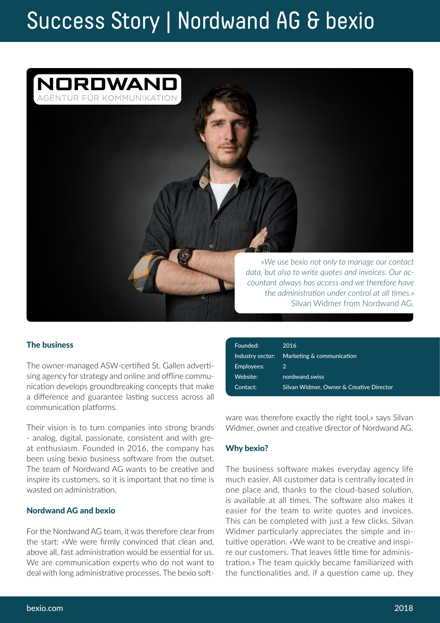# Success Story | Nordwand AG & bexio



### The business

The owner-managed ASW-certified St. Gallen advertising agency for strategy and online and offline communication develops groundbreaking concepts that make a difference and guarantee lasting success across all communication platforms.

Their vision is to turn companies into strong brands - analog, digital, passionate, consistent and with great enthusiasm. Founded in 2016, the company has been using bexio business software from the outset. The team of Nordwand AG wants to be creative and inspire its customers, so it is important that no time is wasted on administration.

#### Nordwand AG and bexio

For the Nordwand AG team, it was therefore clear from the start: «We were firmly convinced that clean and, above all, fast administration would be essential for us. We are communication experts who do not want to deal with long administrative processes. The bexio soft-

| Founded:         | 2016                                     |
|------------------|------------------------------------------|
| Industry sector: | Marketing & communication                |
| Employees:       | 2                                        |
| Website:         | nordwand.swiss                           |
| Contact:         | Silvan Widmer, Owner & Creative Director |

ware was therefore exactly the right tool,» says Silvan Widmer, owner and creative director of Nordwand AG.

#### Why bexio?

The business software makes everyday agency life much easier. All customer data is centrally located in one place and, thanks to the cloud-based solution, is available at all times. The software also makes it easier for the team to write quotes and invoices. This can be completed with just a few clicks. Silvan Widmer particularly appreciates the simple and intuitive operation. «We want to be creative and inspire our customers. That leaves little time for administration.» The team quickly became familiarized with the functionalities and, if a question came up, they